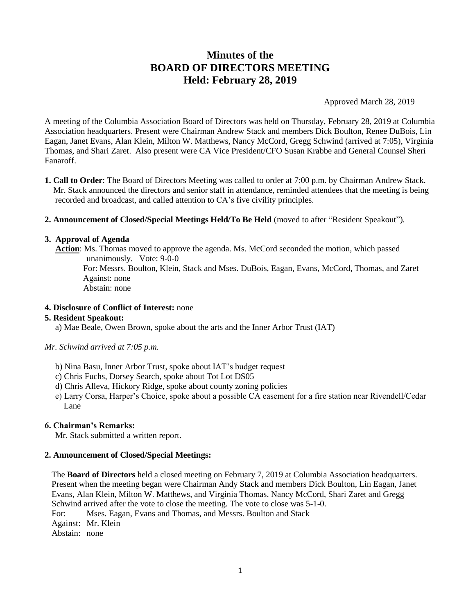# **Minutes of the BOARD OF DIRECTORS MEETING Held: February 28, 2019**

Approved March 28, 2019

A meeting of the Columbia Association Board of Directors was held on Thursday, February 28, 2019 at Columbia Association headquarters. Present were Chairman Andrew Stack and members Dick Boulton, Renee DuBois, Lin Eagan, Janet Evans, Alan Klein, Milton W. Matthews, Nancy McCord, Gregg Schwind (arrived at 7:05), Virginia Thomas, and Shari Zaret. Also present were CA Vice President/CFO Susan Krabbe and General Counsel Sheri Fanaroff.

- **1. Call to Order**: The Board of Directors Meeting was called to order at 7:00 p.m. by Chairman Andrew Stack. Mr. Stack announced the directors and senior staff in attendance, reminded attendees that the meeting is being recorded and broadcast, and called attention to CA's five civility principles.
- **2. Announcement of Closed/Special Meetings Held/To Be Held** (moved to after "Resident Speakout")*.*

#### **3. Approval of Agenda**

 **Action**: Ms. Thomas moved to approve the agenda. Ms. McCord seconded the motion, which passed unanimously. Vote: 9-0-0 For: Messrs. Boulton, Klein, Stack and Mses. DuBois, Eagan, Evans, McCord, Thomas, and Zaret Against: none Abstain: none

## **4. Disclosure of Conflict of Interest:** none

#### **5. Resident Speakout:**

a) Mae Beale, Owen Brown, spoke about the arts and the Inner Arbor Trust (IAT)

#### *Mr. Schwind arrived at 7:05 p.m.*

- b) Nina Basu, Inner Arbor Trust, spoke about IAT's budget request
- c) Chris Fuchs, Dorsey Search, spoke about Tot Lot DS05
- d) Chris Alleva, Hickory Ridge, spoke about county zoning policies
- e) Larry Corsa, Harper's Choice, spoke about a possible CA easement for a fire station near Rivendell/Cedar Lane

#### **6. Chairman's Remarks:**

Mr. Stack submitted a written report.

#### **2. Announcement of Closed/Special Meetings:**

The **Board of Directors** held a closed meeting on February 7, 2019 at Columbia Association headquarters. Present when the meeting began were Chairman Andy Stack and members Dick Boulton, Lin Eagan, Janet Evans, Alan Klein, Milton W. Matthews, and Virginia Thomas. Nancy McCord, Shari Zaret and Gregg Schwind arrived after the vote to close the meeting. The vote to close was 5-1-0.

For: Mses. Eagan, Evans and Thomas, and Messrs. Boulton and Stack

Against: Mr. Klein

Abstain: none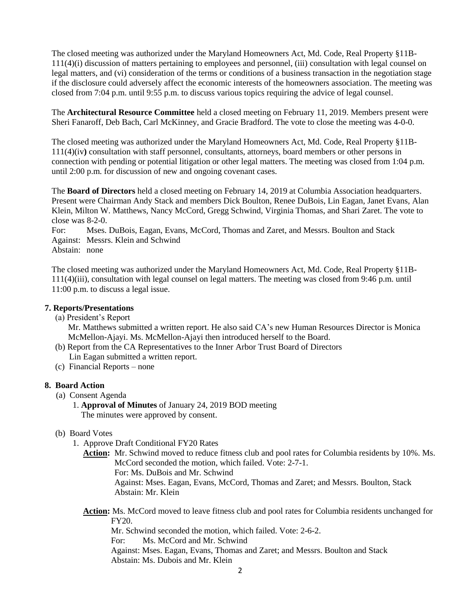The closed meeting was authorized under the Maryland Homeowners Act, Md. Code, Real Property §11B-111(4)(i) discussion of matters pertaining to employees and personnel, (iii) consultation with legal counsel on legal matters, and (vi) consideration of the terms or conditions of a business transaction in the negotiation stage if the disclosure could adversely affect the economic interests of the homeowners association. The meeting was closed from 7:04 p.m. until 9:55 p.m. to discuss various topics requiring the advice of legal counsel.

The **Architectural Resource Committee** held a closed meeting on February 11, 2019. Members present were Sheri Fanaroff, Deb Bach, Carl McKinney, and Gracie Bradford. The vote to close the meeting was 4-0-0.

The closed meeting was authorized under the Maryland Homeowners Act, Md. Code, Real Property §11B-111(4)(iv**)** consultation with staff personnel, consultants, attorneys, board members or other persons in connection with pending or potential litigation or other legal matters. The meeting was closed from 1:04 p.m. until 2:00 p.m. for discussion of new and ongoing covenant cases.

The **Board of Directors** held a closed meeting on February 14, 2019 at Columbia Association headquarters. Present were Chairman Andy Stack and members Dick Boulton, Renee DuBois, Lin Eagan, Janet Evans, Alan Klein, Milton W. Matthews, Nancy McCord, Gregg Schwind, Virginia Thomas, and Shari Zaret. The vote to close was 8-2-0.

For: Mses. DuBois, Eagan, Evans, McCord, Thomas and Zaret, and Messrs. Boulton and Stack Against: Messrs. Klein and Schwind Abstain: none

The closed meeting was authorized under the Maryland Homeowners Act, Md. Code, Real Property §11B-111(4)(iii), consultation with legal counsel on legal matters. The meeting was closed from 9:46 p.m. until 11:00 p.m. to discuss a legal issue.

### **7. Reports/Presentations**

(a) President's Report

 Mr. Matthews submitted a written report. He also said CA's new Human Resources Director is Monica McMellon-Ajayi. Ms. McMellon-Ajayi then introduced herself to the Board.

- (b) Report from the CA Representatives to the Inner Arbor Trust Board of Directors Lin Eagan submitted a written report.
- (c) Financial Reports none

# **8. Board Action**

- (a) Consent Agenda
	- 1. **Approval of Minutes** of January 24, 2019 BOD meeting The minutes were approved by consent.
- (b) Board Votes
	- 1. Approve Draft Conditional FY20 Rates

**Action:** Mr. Schwind moved to reduce fitness club and pool rates for Columbia residents by 10%. Ms. McCord seconded the motion, which failed. Vote: 2-7-1.

For: Ms. DuBois and Mr. Schwind

Against: Mses. Eagan, Evans, McCord, Thomas and Zaret; and Messrs. Boulton, Stack Abstain: Mr. Klein

Action: Ms. McCord moved to leave fitness club and pool rates for Columbia residents unchanged for FY20.

Mr. Schwind seconded the motion, which failed. Vote: 2-6-2.

For: Ms. McCord and Mr. Schwind

Against: Mses. Eagan, Evans, Thomas and Zaret; and Messrs. Boulton and Stack Abstain: Ms. Dubois and Mr. Klein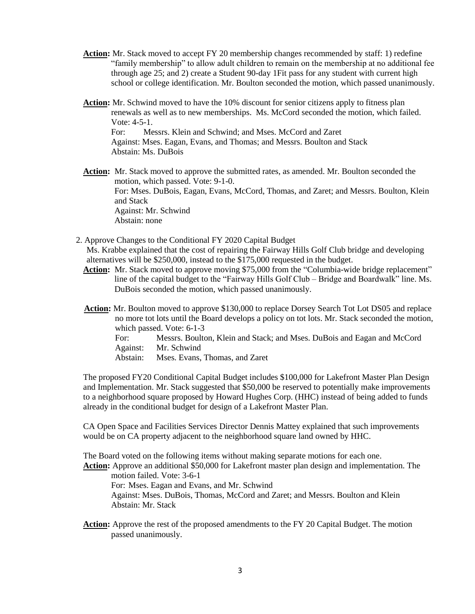- **Action:** Mr. Stack moved to accept FY 20 membership changes recommended by staff: 1) redefine "family membership" to allow adult children to remain on the membership at no additional fee through age 25; and 2) create a Student 90-day 1Fit pass for any student with current high school or college identification. Mr. Boulton seconded the motion, which passed unanimously.
- **Action:** Mr. Schwind moved to have the 10% discount for senior citizens apply to fitness plan renewals as well as to new memberships. Ms. McCord seconded the motion, which failed. Vote: 4-5-1. For: Messrs. Klein and Schwind; and Mses. McCord and Zaret Against: Mses. Eagan, Evans, and Thomas; and Messrs. Boulton and Stack Abstain: Ms. DuBois

**Action:** Mr. Stack moved to approve the submitted rates, as amended. Mr. Boulton seconded the motion, which passed. Vote: 9-1-0. For: Mses. DuBois, Eagan, Evans, McCord, Thomas, and Zaret; and Messrs. Boulton, Klein and Stack Against: Mr. Schwind Abstain: none

- 2. Approve Changes to the Conditional FY 2020 Capital Budget Ms. Krabbe explained that the cost of repairing the Fairway Hills Golf Club bridge and developing alternatives will be \$250,000, instead to the \$175,000 requested in the budget.
	- Action: Mr. Stack moved to approve moving \$75,000 from the "Columbia-wide bridge replacement" line of the capital budget to the "Fairway Hills Golf Club – Bridge and Boardwalk" line. Ms. DuBois seconded the motion, which passed unanimously.
	- **Action:** Mr. Boulton moved to approve \$130,000 to replace Dorsey Search Tot Lot DS05 and replace no more tot lots until the Board develops a policy on tot lots. Mr. Stack seconded the motion, which passed. Vote: 6-1-3 For: Messrs. Boulton, Klein and Stack; and Mses. DuBois and Eagan and McCord Against: Mr. Schwind Abstain: Mses. Evans, Thomas, and Zaret

The proposed FY20 Conditional Capital Budget includes \$100,000 for Lakefront Master Plan Design and Implementation. Mr. Stack suggested that \$50,000 be reserved to potentially make improvements to a neighborhood square proposed by Howard Hughes Corp. (HHC) instead of being added to funds already in the conditional budget for design of a Lakefront Master Plan.

CA Open Space and Facilities Services Director Dennis Mattey explained that such improvements would be on CA property adjacent to the neighborhood square land owned by HHC.

The Board voted on the following items without making separate motions for each one.

**Action:** Approve an additional \$50,000 for Lakefront master plan design and implementation. The motion failed. Vote: 3-6-1

For: Mses. Eagan and Evans, and Mr. Schwind

Against: Mses. DuBois, Thomas, McCord and Zaret; and Messrs. Boulton and Klein Abstain: Mr. Stack

Action: Approve the rest of the proposed amendments to the FY 20 Capital Budget. The motion passed unanimously.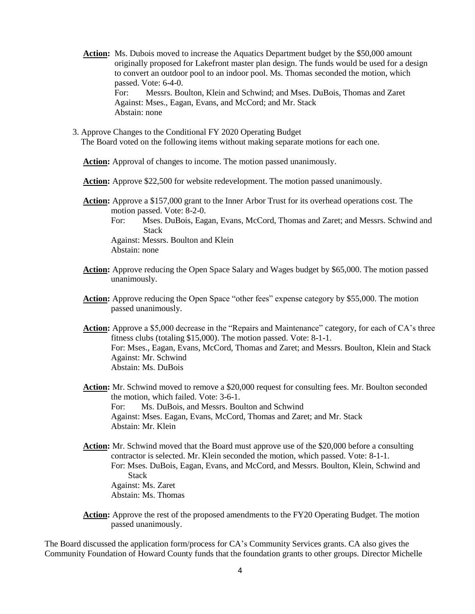- **Action:** Ms. Dubois moved to increase the Aquatics Department budget by the \$50,000 amount originally proposed for Lakefront master plan design. The funds would be used for a design to convert an outdoor pool to an indoor pool. Ms. Thomas seconded the motion, which passed. Vote: 6-4-0. For: Messrs. Boulton, Klein and Schwind; and Mses. DuBois, Thomas and Zaret Against: Mses., Eagan, Evans, and McCord; and Mr. Stack Abstain: none
- 3. Approve Changes to the Conditional FY 2020 Operating Budget The Board voted on the following items without making separate motions for each one.

Action: Approval of changes to income. The motion passed unanimously.

**Action:** Approve \$22,500 for website redevelopment. The motion passed unanimously.

**Action:** Approve a \$157,000 grant to the Inner Arbor Trust for its overhead operations cost. The motion passed. Vote: 8-2-0.

For: Mses. DuBois, Eagan, Evans, McCord, Thomas and Zaret; and Messrs. Schwind and **Stack** 

Against: Messrs. Boulton and Klein Abstain: none

- **Action:** Approve reducing the Open Space Salary and Wages budget by \$65,000. The motion passed unanimously.
- **Action:** Approve reducing the Open Space "other fees" expense category by \$55,000. The motion passed unanimously.
- **Action:** Approve a \$5,000 decrease in the "Repairs and Maintenance" category, for each of CA's three fitness clubs (totaling \$15,000). The motion passed. Vote: 8-1-1. For: Mses., Eagan, Evans, McCord, Thomas and Zaret; and Messrs. Boulton, Klein and Stack Against: Mr. Schwind Abstain: Ms. DuBois
- Action: Mr. Schwind moved to remove a \$20,000 request for consulting fees. Mr. Boulton seconded the motion, which failed. Vote: 3-6-1. For: Ms. DuBois, and Messrs. Boulton and Schwind Against: Mses. Eagan, Evans, McCord, Thomas and Zaret; and Mr. Stack Abstain: Mr. Klein
- **Action:** Mr. Schwind moved that the Board must approve use of the \$20,000 before a consulting contractor is selected. Mr. Klein seconded the motion, which passed. Vote: 8-1-1. For: Mses. DuBois, Eagan, Evans, and McCord, and Messrs. Boulton, Klein, Schwind and Stack Against: Ms. Zaret Abstain: Ms. Thomas
- **Action:** Approve the rest of the proposed amendments to the FY20 Operating Budget. The motion passed unanimously.

The Board discussed the application form/process for CA's Community Services grants. CA also gives the Community Foundation of Howard County funds that the foundation grants to other groups. Director Michelle